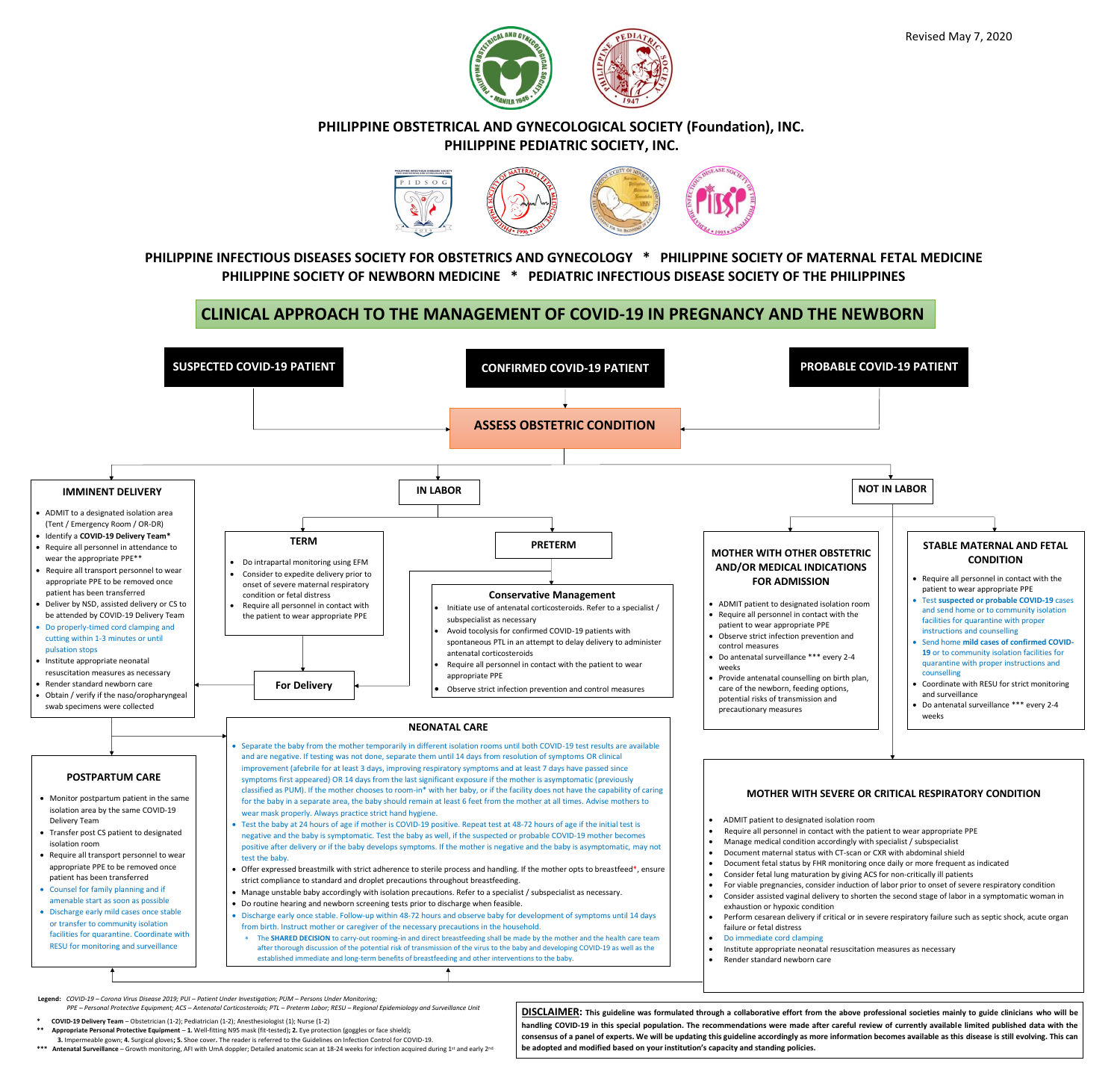

**<sup>\*\*</sup> Appropriate Personal Protective Equipment** – **1.** Well-fitting N95 mask (fit-tested)**; 2.** Eye protection (goggles or face shield)**;** 

 **3.** Impermeable gown; **4.** Surgical gloves**; 5.** Shoe cover**.** The reader is referred to the Guidelines on Infection Control for COVID-19.

\*\*\* Antenatal Surveillance – Growth monitoring, AFI with UmA doppler; Detailed anatomic scan at 18-24 weeks for infection acquired during 1<sup>st</sup> and early 2<sup>nd</sup>

**handling COVID-19 in this special population. The recommendations were made after careful review of currently available limited published data with the consensus of a panel of experts. We will be updating this guideline accordingly as more information becomes available as this disease is still evolving. This can be adopted and modified based on your institution's capacity and standing policies.** 

Revised May 7, 2020





## **PHILIPPINE OBSTETRICAL AND GYNECOLOGICAL SOCIETY (Foundation), INC. PHILIPPINE PEDIATRIC SOCIETY, INC.**



# **PHILIPPINE INFECTIOUS DISEASES SOCIETY FOR OBSTETRICS AND GYNECOLOGY \* PHILIPPINE SOCIETY OF MATERNAL FETAL MEDICINE PHILIPPINE SOCIETY OF NEWBORN MEDICINE \* PEDIATRIC INFECTIOUS DISEASE SOCIETY OF THE PHILIPPINES**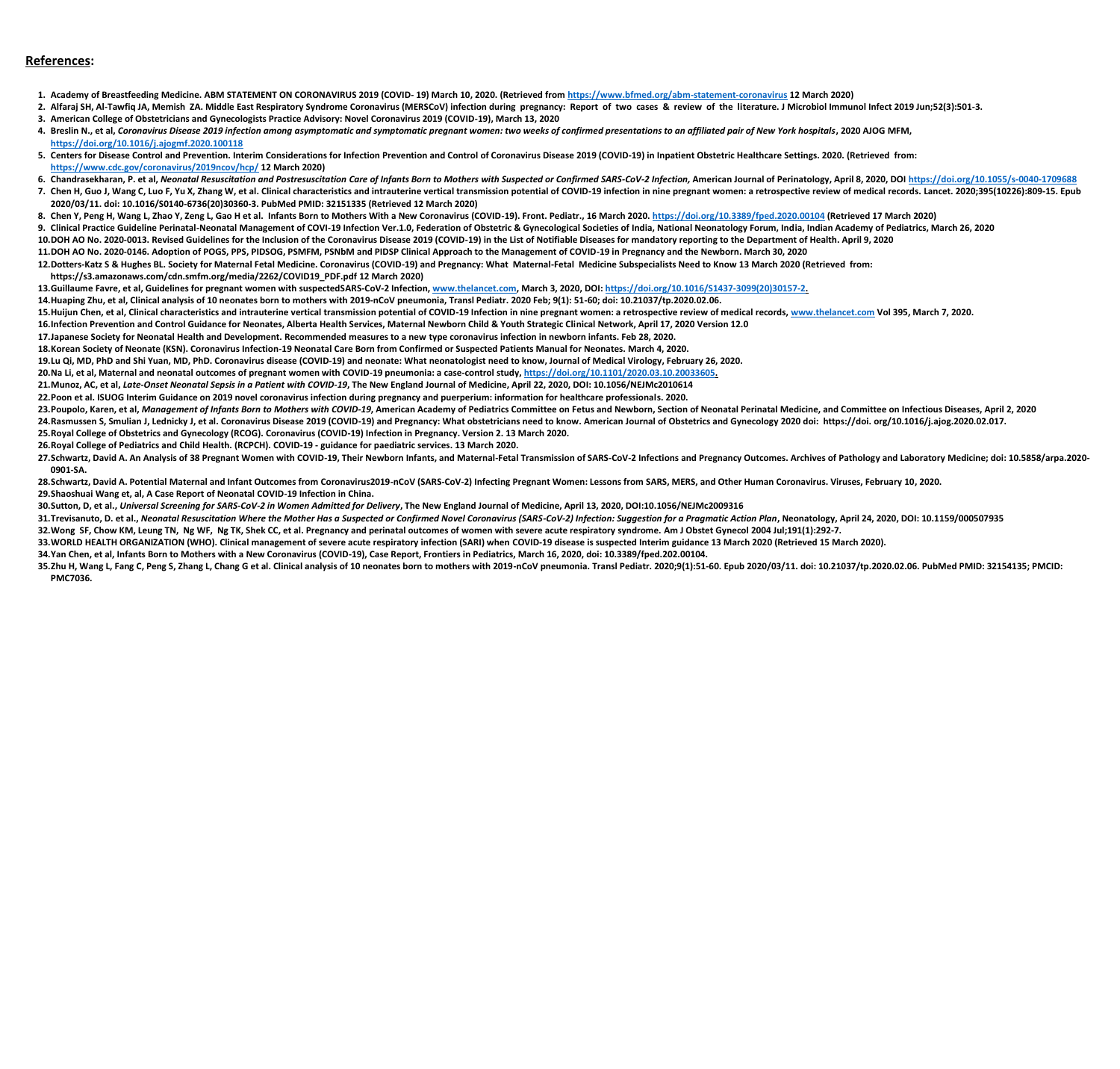### **References:**

- **1. Academy of Breastfeeding Medicine. ABM STATEMENT ON CORONAVIRUS 2019 (COVID- 19) March 10, 2020. (Retrieved from<https://www.bfmed.org/abm-statement-coronavirus> 12 March 2020)**
- **3. American College of Obstetricians and Gynecologists Practice Advisory: Novel Coronavirus 2019 (COVID-19), March 13, 2020**
- 4. Breslin N., et al, Coronavirus Disease 2019 infection among asymptomatic and symptomatic pregnant women: two weeks of confirmed presentations to an affiliated pair of New York hospitals, 2020 AJOG MFM, **<https://doi.org/10.1016/j.ajogmf.2020.100118>**
- 5. Centers for Disease Control and Prevention. Interim Considerations for Infection Prevention and Control of Coronavirus Disease 2019 (COVID-19) in Inpatient Obstetric Healthcare Settings. 2020. (Retrieved from: **<https://www.cdc.gov/coronavirus/2019ncov/hcp/> 12 March 2020)**
- 6. Chandrasekharan, P. et al. Neongtal Resuscitation and Postresuscitation Care of Infants Born to Mothers with Suspected or Confirmed SARS-CoV-2 Infection. American Journal of Perinatology, April 8, 2020, DOI https://doi. 7. Chen H, Guo J, Wang C, Luo F, Yu X, Zhang W, et al. Clinical characteristics and intrauterine vertical transmission potential of COVID-19 infection in nine pregnant women: a retrospective review of medical records. Lanc **2020/03/11. doi: 10.1016/S0140-6736(20)30360-3. PubMed PMID: 32151335 (Retrieved 12 March 2020)**
- 8. Chen Y, Peng H, Wang L, Zhao Y, Zeng L, Gao H et al. Infants Born to Mothers With a New Coronavirus (COVID-19). Front. Pediatr., 16 March 2020.<https://doi.org/10.3389/fped.2020.00104> (Retrieved 17 March 2020)
- 9. Clinical Practice Guideline Perinatal-Neonatal Management of COVI-19 Infection Ver.1.0, Federation of Obstetric & Gynecological Societies of India, National Neonatology Forum, India, Indian Academy of Pediatrics, March
- **10.DOH AO No. 2020-0013. Revised Guidelines for the Inclusion of the Coronavirus Disease 2019 (COVID-19) in the List of Notifiable Diseases for mandatory reporting to the Department of Health. April 9, 2020 11.DOH AO No. 2020-0146. Adoption of POGS, PPS, PIDSOG, PSMFM, PSNbM and PIDSP Clinical Approach to the Management of COVID-19 in Pregnancy and the Newborn. March 30, 2020**
- **12.Dotters-Katz S & Hughes BL. Society for Maternal Fetal Medicine. Coronavirus (COVID-19) and Pregnancy: What Maternal-Fetal Medicine Subspecialists Need to Know 13 March 2020 (Retrieved from: https://s3.amazonaws.com/cdn.smfm.org/media/2262/COVID19\_PDF.pdf 12 March 2020)**
- **13.Guillaume Favre, et al, Guidelines for pregnant women with suspectedSARS-CoV-2 Infection, [www.thelancet.com,](http://www.thelancet.com/) March 3, 2020, DOI: [https://doi.org/10.1016/S1437-3099\(20\)30157-2.](https://doi.org/10.1016/S1437-3099(20)30157-2) 14.Huaping Zhu, et al, Clinical analysis of 10 neonates born to mothers with 2019-nCoV pneumonia, Transl Pediatr. 2020 Feb; 9(1): 51-60; doi: 10.21037/tp.2020.02.06.** 15. Huijun Chen, et al, Clinical characteristics and intrauterine vertical transmission potential of COVID-19 Infection in nine pregnant women: a retrospective review of medical records, [www.thelancet.com](http://www.thelancet.com/) Vol 395, March 7, **16.Infection Prevention and Control Guidance for Neonates, Alberta Health Services, Maternal Newborn Child & Youth Strategic Clinical Network, April 17, 2020 Version 12.0 17.Japanese Society for Neonatal Health and Development. Recommended measures to a new type coronavirus infection in newborn infants. Feb 28, 2020. 18.Korean Society of Neonate (KSN). Coronavirus Infection-19 Neonatal Care Born from Confirmed or Suspected Patients Manual for Neonates. March 4, 2020. 19.Lu Qi, MD, PhD and Shi Yuan, MD, PhD. Coronavirus disease (COVID-19) and neonate: What neonatologist need to know, Journal of Medical Virology, February 26, 2020. 20.Na Li, et al, Maternal and neonatal outcomes of pregnant women with COVID-19 pneumonia: a case-control study, [https://doi.org/10.1101/2020.03.10.20033605.](https://doi.org/10.1101/2020.03.10.20033605) 21.Munoz, AC, et al,** *Late-Onset Neonatal Sepsis in a Patient with COVID-19***, The New England Journal of Medicine, April 22, 2020, DOI: 10.1056/NEJMc2010614 22.Poon et al. ISUOG Interim Guidance on 2019 novel coronavirus infection during pregnancy and puerperium: information for healthcare professionals. 2020.** 23. Poupolo, Karen, et al, Management of Infants Born to Mothers with COVID-19, American Academy of Pediatrics Committee on Fetus and Newborn, Section of Neonatal Perinatal Medicine, and Committee on Infectious Diseases, A 24. Rasmussen S, Smulian J, Lednicky J, et al. Coronavirus Disease 2019 (COVID-19) and Pregnancy: What obstetricians need to know. American Journal of Obstetrics and Gynecology 2020 doi: https://doi. org/10.1016/j.ajog.202 **25.Royal College of Obstetrics and Gynecology (RCOG). Coronavirus (COVID-19) Infection in Pregnancy. Version 2. 13 March 2020.**
- **26.Royal College of Pediatrics and Child Health. (RCPCH). COVID-19 - guidance for paediatric services. 13 March 2020.**
- 27. Schwartz, David A. An Analysis of 38 Pregnant Women with COVID-19, Their Newborn Infants, and Maternal-Fetal Transmission of SARS-CoV-2 Infections and Pregnancy Outcomes. Archives of Pathology and Laboratory Medicine; **0901-SA.**
- **28.Schwartz, David A. Potential Maternal and Infant Outcomes from Coronavirus2019-nCoV (SARS-CoV-2) Infecting Pregnant Women: Lessons from SARS, MERS, and Other Human Coronavirus. Viruses, February 10, 2020. 29.Shaoshuai Wang et, al, A Case Report of Neonatal COVID-19 Infection in China.**
- **30.Sutton, D, et al.,** *Universal Screening for SARS-CoV-2 in Women Admitted for Delivery***, The New England Journal of Medicine, April 13, 2020, DOI:10.1056/NEJMc2009316** 31. Trevisanuto, D. et al., Neonatal Resuscitation Where the Mother Has a Suspected or Confirmed Novel Coronavirus (SARS-CoV-2) Infection: Suggestion for a Pragmatic Action Plan, Neonatology, April 24, 2020, DOI: 10.1159/0 **32.Wong SF, Chow KM, Leung TN, Ng WF, Ng TK, Shek CC, et al. Pregnancy and perinatal outcomes of women with severe acute respiratory syndrome. Am J Obstet Gynecol 2004 Jul;191(1):292-7. 33.WORLD HEALTH ORGANIZATION (WHO). Clinical management of severe acute respiratory infection (SARI) when COVID-19 disease is suspected Interim guidance 13 March 2020 (Retrieved 15 March 2020). 34.Yan Chen, et al, Infants Born to Mothers with a New Coronavirus (COVID-19), Case Report, Frontiers in Pediatrics, March 16, 2020, doi: 10.3389/fped.202.00104.** 35.2hu H, Wang L, Fang C, Peng S, Zhang L, Chang G et al. Clinical analysis of 10 neonates born to mothers with 2019-nCoV pneumonia. Transl Pediatr. 2020;9(1):51-60. Epub 2020/03/11. doi: 10.21037/tp.2020.02.06. PubMed PMI **PMC7036.**

2. Alfaraj SH, Al-Tawfiq JA, Memish ZA. Middle East Respiratory Syndrome Coronavirus (MERSCoV) infection during pregnancy: Report of two cases & review of the literature. J Microbiol Immunol Infect 2019 Jun;52(3):501-3.